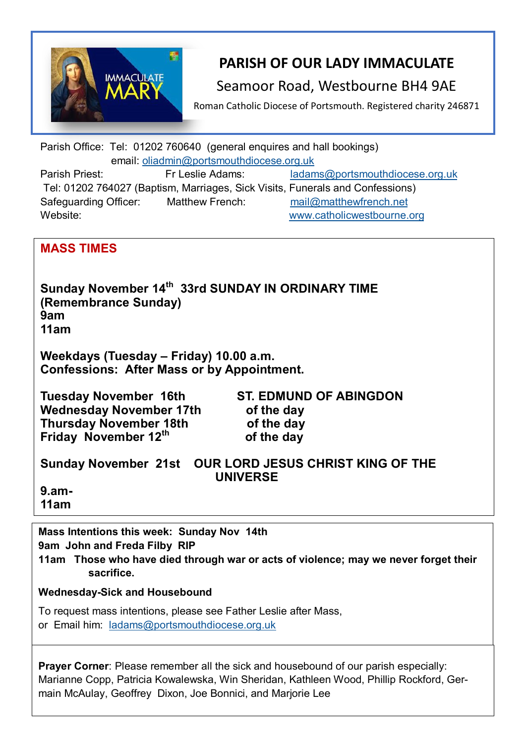

# **PARISH OF OUR LADY IMMACULATE**

## Seamoor Road, Westbourne BH4 9AE

Roman Catholic Diocese of Portsmouth. Registered charity 246871

Parish Office: Tel: 01202 760640 (general enquires and hall bookings) email: [oliadmin@portsmouthdiocese.org.uk](about:blank) Parish Priest: Fr Leslie Adams: [ladams@portsmouthdiocese.org.uk](mailto:ladams@portsmouthdiocese.org.uk) Tel: 01202 764027 (Baptism, Marriages, Sick Visits, Funerals and Confessions) Safeguarding Officer: Matthew French: [mail@matthewfrench.net](about:blank)  Website: [www.catholicwestbourne.org](about:blank)

## **MASS TIMES**

**Sunday November 14th 33rd SUNDAY IN ORDINARY TIME (Remembrance Sunday) 9am 11am**

**Weekdays (Tuesday – Friday) 10.00 a.m. Confessions: After Mass or by Appointment.**

**Tuesday November 16th ST. EDMUND OF ABINGDON Wednesday November 17th of the day Thursday November 18th of the day Friday November 12th**

 **of the day** 

**Sunday November 21st OUR LORD JESUS CHRIST KING OF THE UNIVERSE**

**9.am-11am** 

**Mass Intentions this week: Sunday Nov 14th 9am John and Freda Filby RIP**

**11am Those who have died through war or acts of violence; may we never forget their sacrifice.** 

### **Wednesday-Sick and Housebound**

To request mass intentions, please see Father Leslie after Mass, or Email him: [ladams@portsmouthdiocese.org.uk](mailto:ladams@portsmouthdiocese.org.uk)

**Prayer Corner:** Please remember all the sick and housebound of our parish especially: Marianne Copp, Patricia Kowalewska, Win Sheridan, Kathleen Wood, Phillip Rockford, Germain McAulay, Geoffrey Dixon, Joe Bonnici, and Marjorie Lee